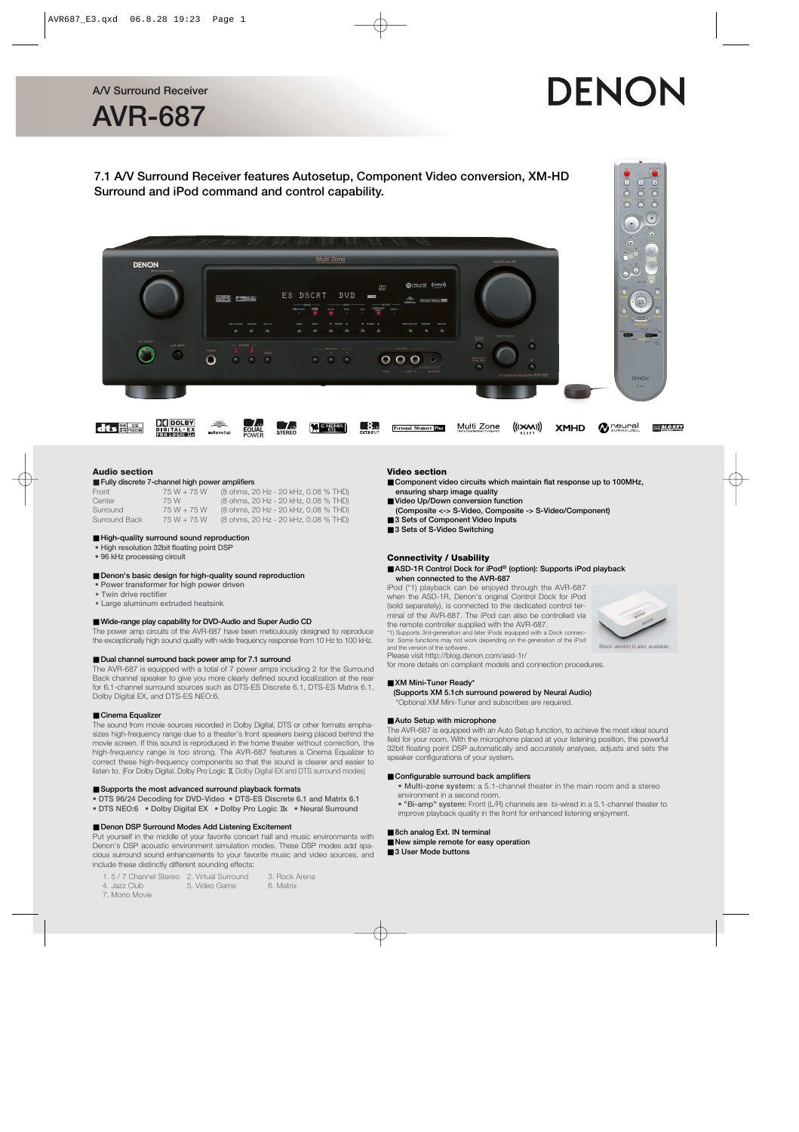# DENON





#### **Audio section**

#### ■ **Fully discrete 7-channel high power amplifiers**

| Front         | 75 W + 75 W   | (8 ohms, 20 Hz - 20 kHz, 0.08 % THD) |  |
|---------------|---------------|--------------------------------------|--|
| Center        | 75 W          | (8 ohms, 20 Hz - 20 kHz, 0.08 % THD) |  |
| Surround      | $75 W + 75 W$ | (8 ohms, 20 Hz - 20 kHz, 0.08 % THD) |  |
| Surround Back | $75 W + 75 W$ | (8 ohms, 20 Hz - 20 kHz, 0.08 % THD) |  |

#### ■ **High-quality surround sound reproduction**

- **High resolution 32bit floating point DSP**
- **96 kHz processing circuit**

#### ■ **Denon's basic design for high-quality sound reproduction**

- **Power transformer for high power driven**
- **Twin drive rectifier**
- **Large aluminum extruded heatsink**

### ■ Wide-range play capability for DVD-Audio and Super Audio CD

The power amp circuits of the AVR-687 have been meticulously designed to reproduce the exceptionally high sound quality with wide frequency response from 10 Hz to 100 kHz.

#### ■ **Dual channel surround back power amp for 7.1 surround**

The AVR-687 is equipped with a total of 7 power amps including 2 for the Surround Back channel speaker to give you more clearly defined sound localization at the rear for 6.1-channel surround sources such as DTS-ES Discrete 6.1, DTS-ES Matrix 6.1, Dolby Digital EX, and DTS-ES NEO:6.

#### ■ Cinema Equalizer

The sound from movie sources recorded in Dolby Digital, DTS or other formats emphasizes high-frequency range due to a theater's front speakers being placed behind the movie screen. If this sound is reproduced in the home theater without correction, the high-frequency range is too strong. The AVR-687 features a Cinema Equalizer to correct these high-frequency components so that the sound is clearer and easier to listen to. (For Dolby Digital, Dolby Pro Logic II, Dolby Digital EX and DTS surround modes)

#### ■ Supports the most advanced surround playback formats

- **DTS 96/24 Decoding for DVD-Video DTS-ES Discrete 6.1 and Matrix 6.1**
- DTS NEO:6 Dolby Digital EX Dolby Pro Logic **IIX Neural Surround**

#### ■ **Denon DSP Surround Modes Add Listening Excitement**

Put yourself in the middle of your favorite concert hall and music environments with Denon's DSP acoustic environment simulation modes. These DSP modes add spacious surround sound enhancements to your favorite music and video sources, and include these distinctly different sounding effects:

- 1. 5 / 7 Channel Stereo 2. Virtual Surround 3. Rock Arena 4. Jazz Club 5. Video Game 6. Matrix
- 7. Mono Movie
- **Video section**
- Component video circuits which maintain flat response up to 100MHz, **ensuring sharp image quality**
- **Video Up/Down conversion function (Composite <-> S-Video, Composite -> S-Video/Component)**
- 3 Sets of Component Video Inputs
- 3 Sets of S-Video Switching

#### **Connectivity / Usability**

#### ■ **ASD-1R Control Dock for iPod®** (option): Supports iPod playback **when connected to the AVR-687**

iPod (\*1) playback can be enjoyed through the AVR-687 when the ASD-1R, Denon's original Control Dock for iPod (sold separately), is connected to the dedicated control terminal of the AVR-687. The iPod can also be controlled via the remote controller supplied with the AVR-687. \*1) Supports 3rd-generation and later iPods equipped with a Dock connector. Some functions may not work depending on the generation of the iPod and the version of the software..

Black version is also available

Please visit http://blog.denon.com/asd-1r/

for more details on compliant models and connection procedures.

#### ■ **XM Mini-Tuner Ready\***

**(Supports XM 5.1ch surround powered by Neural Audio)**

\*Optional XM Mini-Tuner and subscribes are required.

#### ■ Auto Setup with microphone

The AVR-687 is equipped with an Auto Setup function, to achieve the most ideal sound field for your room. With the microphone placed at your listening position, the powerful 32bit floating point DSP automatically and accurately analyses, adjusts and sets the speaker configurations of your system.

#### ■ Configurable surround back amplifiers

- **Multi-zone system:** a 5.1-channel theater in the main room and a stereo environment in a second room.
- **"Bi-amp" system:** Front (L/R) channels are bi-wired in a 5.1-channel theater to improve playback quality in the front for enhanced listening enjoyment.

#### ■ 8ch analog Ext. IN terminal

- New simple remote for easy operation
- 3 User Mode buttons